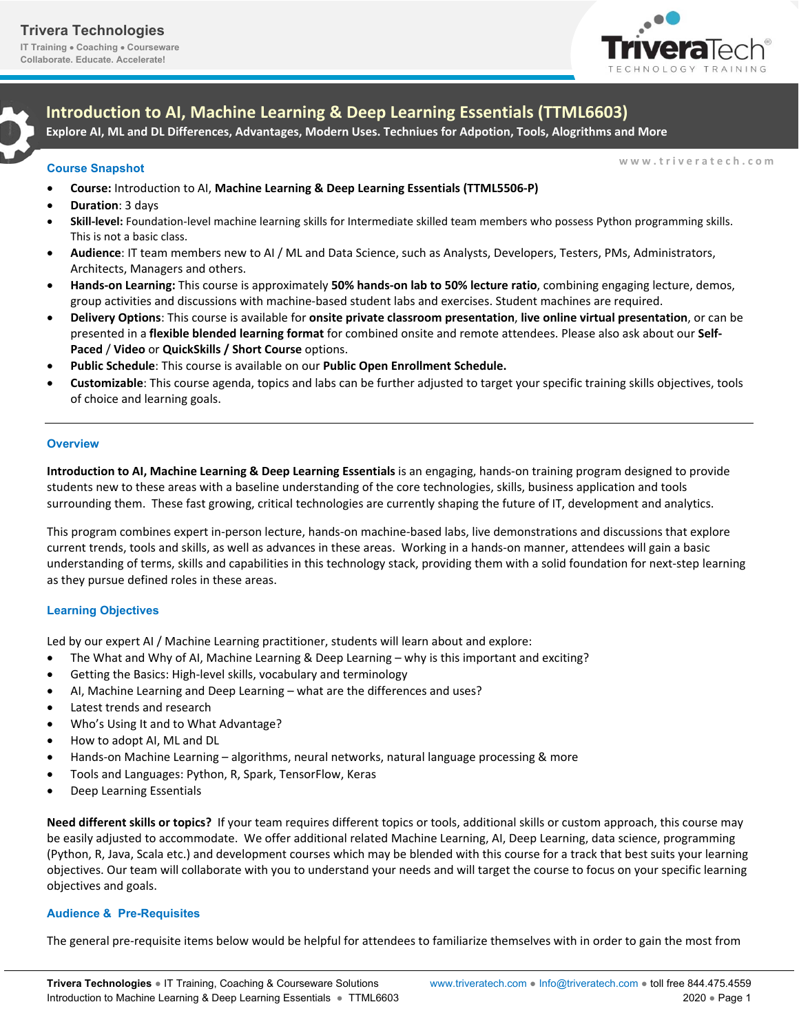**IT Training Coaching Courseware Collaborate. Educate. Accelerate!**





**Introduction to AI, Machine Learning & Deep Learning Essentials (TTML6603)** 

**Explore AI, ML and DL Differences, Advantages, Modern Uses. Techniues for Adpotion, Tools, Alogrithms and More**

**Course Snapshot** www.triveratech.com

- **Course:** Introduction to AI, **Machine Learning & Deep Learning Essentials (TTML5506‐P)**
- **Duration**: 3 days
- **Skill‐level:** Foundation‐level machine learning skills for Intermediate skilled team members who possess Python programming skills. This is not a basic class.
- **Audience**: IT team members new to AI / ML and Data Science, such as Analysts, Developers, Testers, PMs, Administrators, Architects, Managers and others.
- **Hands‐on Learning:** This course is approximately **50% hands‐on lab to 50% lecture ratio**, combining engaging lecture, demos, group activities and discussions with machine‐based student labs and exercises. Student machines are required.
- **Delivery Options**: This course is available for **onsite private classroom presentation**, **live online virtual presentation**, or can be presented in a **flexible blended learning format** for combined onsite and remote attendees. Please also ask about our **Self‐ Paced** / **Video** or **QuickSkills / Short Course** options.
- **Public Schedule**: This course is available on our **Public Open Enrollment Schedule.**
- **Customizable**: This course agenda, topics and labs can be further adjusted to target your specific training skills objectives, tools of choice and learning goals.

## **Overview**

**Introduction to AI, Machine Learning & Deep Learning Essentials** is an engaging, hands‐on training program designed to provide students new to these areas with a baseline understanding of the core technologies, skills, business application and tools surrounding them. These fast growing, critical technologies are currently shaping the future of IT, development and analytics.

This program combines expert in‐person lecture, hands‐on machine‐based labs, live demonstrations and discussions that explore current trends, tools and skills, as well as advances in these areas. Working in a hands‐on manner, attendees will gain a basic understanding of terms, skills and capabilities in this technology stack, providing them with a solid foundation for next‐step learning as they pursue defined roles in these areas.

# **Learning Objectives**

Led by our expert AI / Machine Learning practitioner, students will learn about and explore:

- The What and Why of AI, Machine Learning & Deep Learning why is this important and exciting?
- Getting the Basics: High‐level skills, vocabulary and terminology
- AI, Machine Learning and Deep Learning what are the differences and uses?
- Latest trends and research
- Who's Using It and to What Advantage?
- How to adopt AI, ML and DL
- Hands‐on Machine Learning algorithms, neural networks, natural language processing & more
- Tools and Languages: Python, R, Spark, TensorFlow, Keras
- Deep Learning Essentials

**Need different skills or topics?** If your team requires different topics or tools, additional skills or custom approach, this course may be easily adjusted to accommodate. We offer additional related Machine Learning, AI, Deep Learning, data science, programming (Python, R, Java, Scala etc.) and development courses which may be blended with this course for a track that best suits your learning objectives. Our team will collaborate with you to understand your needs and will target the course to focus on your specific learning objectives and goals.

## **Audience & Pre-Requisites**

The general pre-requisite items below would be helpful for attendees to familiarize themselves with in order to gain the most from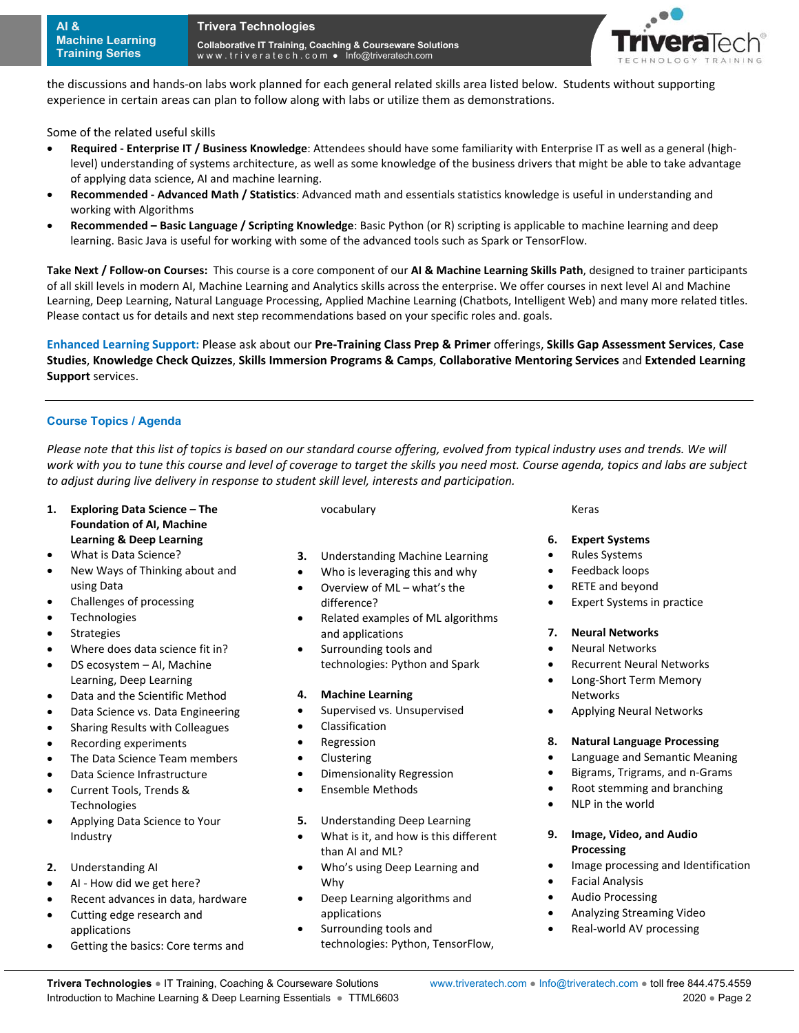

the discussions and hands‐on labs work planned for each general related skills area listed below. Students without supporting experience in certain areas can plan to follow along with labs or utilize them as demonstrations.

Some of the related useful skills

- **Required ‐ Enterprise IT / Business Knowledge**: Attendees should have some familiarity with Enterprise IT as well as a general (high‐ level) understanding of systems architecture, as well as some knowledge of the business drivers that might be able to take advantage of applying data science, AI and machine learning.
- **Recommended ‐ Advanced Math / Statistics**: Advanced math and essentials statistics knowledge is useful in understanding and working with Algorithms
- **Recommended Basic Language / Scripting Knowledge**: Basic Python (or R) scripting is applicable to machine learning and deep learning. Basic Java is useful for working with some of the advanced tools such as Spark or TensorFlow.

**Take Next / Follow‐on Courses:** This course is a core component of our **AI & Machine Learning Skills Path**, designed to trainer participants of all skill levels in modern AI, Machine Learning and Analytics skills across the enterprise. We offer courses in next level AI and Machine Learning, Deep Learning, Natural Language Processing, Applied Machine Learning (Chatbots, Intelligent Web) and many more related titles. Please contact us for details and next step recommendations based on your specific roles and. goals.

**Enhanced Learning Support:** Please ask about our **Pre‐Training Class Prep & Primer** offerings, **Skills Gap Assessment Services**, **Case Studies**, **Knowledge Check Quizzes**, **Skills Immersion Programs & Camps**, **Collaborative Mentoring Services** and **Extended Learning Support** services.

#### **Course Topics / Agenda**

Please note that this list of topics is based on our standard course offering, evolved from typical industry uses and trends. We will *work with you to tune this course and level of coverage to target the skills you need most. Course agenda, topics and labs are subject to adjust during live delivery in response to student skill level, interests and participation.* 

- **1. Exploring Data Science The Foundation of AI, Machine Learning & Deep Learning**
- What is Data Science?
- New Ways of Thinking about and using Data
- Challenges of processing
- Technologies
- Strategies
- Where does data science fit in?
- DS ecosystem AI, Machine Learning, Deep Learning
- Data and the Scientific Method
- Data Science vs. Data Engineering
- Sharing Results with Colleagues
- Recording experiments
- The Data Science Team members
- Data Science Infrastructure
- Current Tools, Trends & **Technologies**
- Applying Data Science to Your Industry
- **2.** Understanding AI
- AI ‐ How did we get here?
- Recent advances in data, hardware
- Cutting edge research and applications
- Getting the basics: Core terms and

vocabulary

- **3.** Understanding Machine Learning
- Who is leveraging this and why
- Overview of ML what's the difference?
- Related examples of ML algorithms and applications
- Surrounding tools and technologies: Python and Spark

## **4. Machine Learning**

- **•** Supervised vs. Unsupervised
- Classification
- Regression
- Clustering
- Dimensionality Regression
- **•** Ensemble Methods
- **5.** Understanding Deep Learning
- What is it, and how is this different than AI and ML?
- Who's using Deep Learning and Why
- Deep Learning algorithms and applications
- Surrounding tools and technologies: Python, TensorFlow,

Keras

## **6. Expert Systems**

- Rules Systems
- Feedback loops
- RETE and beyond
- Expert Systems in practice

#### **7. Neural Networks**

- Neural Networks
- Recurrent Neural Networks
- Long-Short Term Memory Networks
- **•** Applying Neural Networks

#### **8. Natural Language Processing**

- Language and Semantic Meaning
- Bigrams, Trigrams, and n‐Grams
- Root stemming and branching
- NLP in the world

#### **9. Image, Video, and Audio Processing**

- Image processing and Identification
- Facial Analysis
- Audio Processing
- Analyzing Streaming Video
- Real-world AV processing